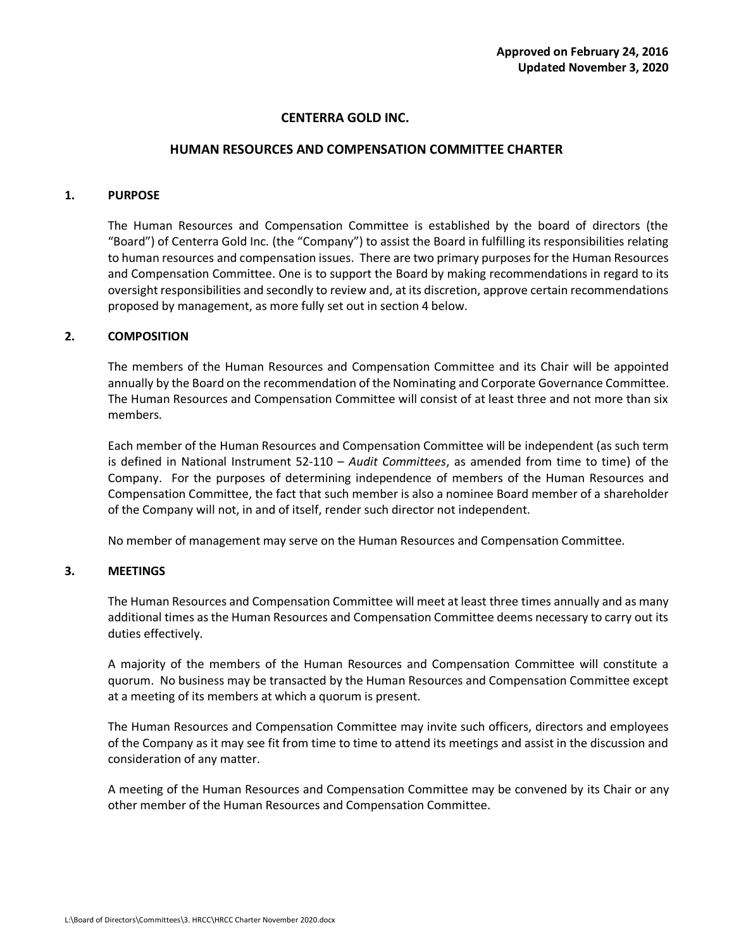# **CENTERRA GOLD INC.**

### **HUMAN RESOURCES AND COMPENSATION COMMITTEE CHARTER**

## **1. PURPOSE**

The Human Resources and Compensation Committee is established by the board of directors (the "Board") of Centerra Gold Inc. (the "Company") to assist the Board in fulfilling its responsibilities relating to human resources and compensation issues. There are two primary purposes for the Human Resources and Compensation Committee. One is to support the Board by making recommendations in regard to its oversight responsibilities and secondly to review and, at its discretion, approve certain recommendations proposed by management, as more fully set out in section 4 below.

## **2. COMPOSITION**

The members of the Human Resources and Compensation Committee and its Chair will be appointed annually by the Board on the recommendation of the Nominating and Corporate Governance Committee. The Human Resources and Compensation Committee will consist of at least three and not more than six members.

Each member of the Human Resources and Compensation Committee will be independent (as such term is defined in National Instrument 52-110 – *Audit Committees*, as amended from time to time) of the Company. For the purposes of determining independence of members of the Human Resources and Compensation Committee, the fact that such member is also a nominee Board member of a shareholder of the Company will not, in and of itself, render such director not independent.

No member of management may serve on the Human Resources and Compensation Committee.

### **3. MEETINGS**

The Human Resources and Compensation Committee will meet at least three times annually and as many additional times as the Human Resources and Compensation Committee deems necessary to carry out its duties effectively.

A majority of the members of the Human Resources and Compensation Committee will constitute a quorum. No business may be transacted by the Human Resources and Compensation Committee except at a meeting of its members at which a quorum is present.

The Human Resources and Compensation Committee may invite such officers, directors and employees of the Company as it may see fit from time to time to attend its meetings and assist in the discussion and consideration of any matter.

A meeting of the Human Resources and Compensation Committee may be convened by its Chair or any other member of the Human Resources and Compensation Committee.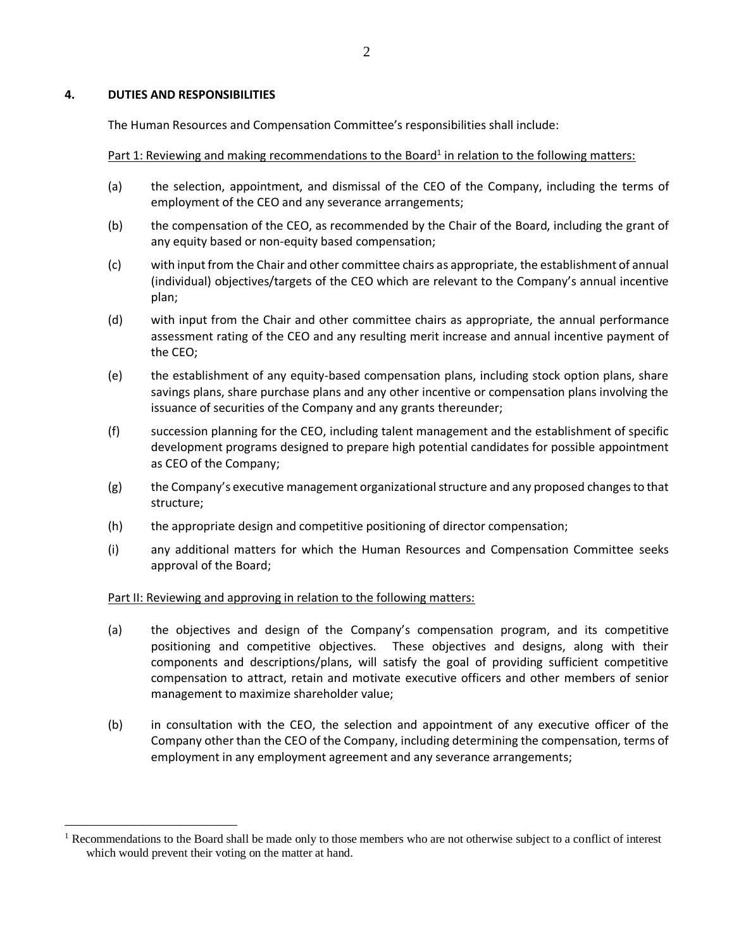## **4. DUTIES AND RESPONSIBILITIES**

The Human Resources and Compensation Committee's responsibilities shall include:

Part 1: Reviewing and making recommendations to the Board<sup>1</sup> in relation to the following matters:

- (a) the selection, appointment, and dismissal of the CEO of the Company, including the terms of employment of the CEO and any severance arrangements;
- (b) the compensation of the CEO, as recommended by the Chair of the Board, including the grant of any equity based or non-equity based compensation;
- (c) with input from the Chair and other committee chairs as appropriate, the establishment of annual (individual) objectives/targets of the CEO which are relevant to the Company's annual incentive plan;
- (d) with input from the Chair and other committee chairs as appropriate, the annual performance assessment rating of the CEO and any resulting merit increase and annual incentive payment of the CEO;
- (e) the establishment of any equity-based compensation plans, including stock option plans, share savings plans, share purchase plans and any other incentive or compensation plans involving the issuance of securities of the Company and any grants thereunder;
- (f) succession planning for the CEO, including talent management and the establishment of specific development programs designed to prepare high potential candidates for possible appointment as CEO of the Company;
- (g) the Company's executive management organizational structure and any proposed changes to that structure;
- (h) the appropriate design and competitive positioning of director compensation;
- (i) any additional matters for which the Human Resources and Compensation Committee seeks approval of the Board;

# Part II: Reviewing and approving in relation to the following matters:

- (a) the objectives and design of the Company's compensation program, and its competitive positioning and competitive objectives. These objectives and designs, along with their components and descriptions/plans, will satisfy the goal of providing sufficient competitive compensation to attract, retain and motivate executive officers and other members of senior management to maximize shareholder value;
- (b) in consultation with the CEO, the selection and appointment of any executive officer of the Company other than the CEO of the Company, including determining the compensation, terms of employment in any employment agreement and any severance arrangements;

 $<sup>1</sup>$  Recommendations to the Board shall be made only to those members who are not otherwise subject to a conflict of interest</sup> which would prevent their voting on the matter at hand.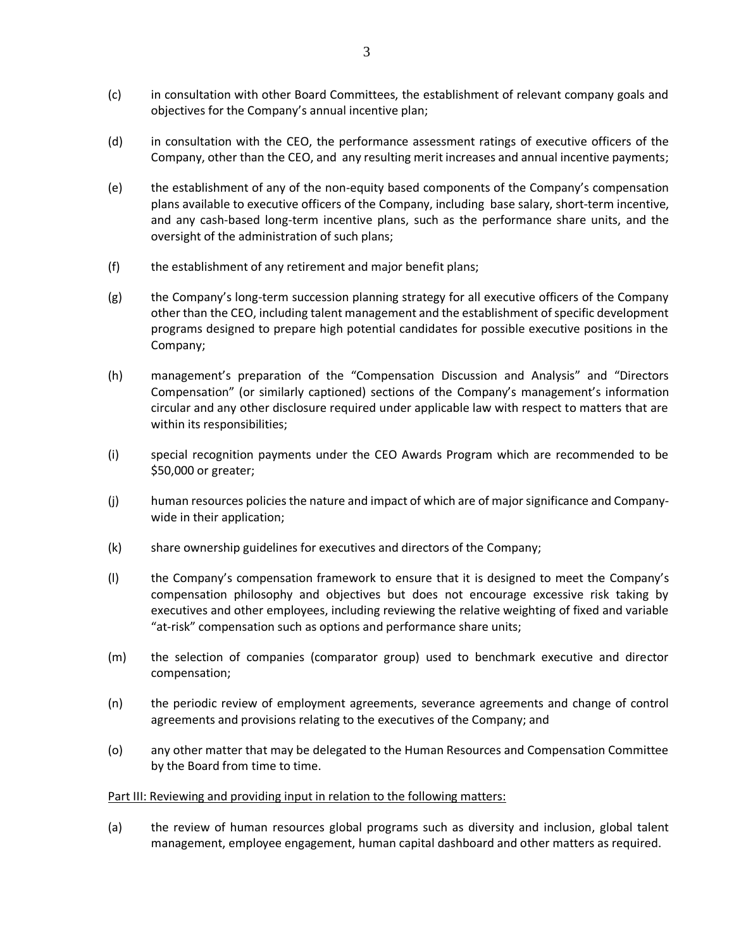- (c) in consultation with other Board Committees, the establishment of relevant company goals and objectives for the Company's annual incentive plan;
- (d) in consultation with the CEO, the performance assessment ratings of executive officers of the Company, other than the CEO, and any resulting merit increases and annual incentive payments;
- (e) the establishment of any of the non-equity based components of the Company's compensation plans available to executive officers of the Company, including base salary, short-term incentive, and any cash-based long-term incentive plans, such as the performance share units, and the oversight of the administration of such plans;
- (f) the establishment of any retirement and major benefit plans;
- (g) the Company's long-term succession planning strategy for all executive officers of the Company other than the CEO, including talent management and the establishment of specific development programs designed to prepare high potential candidates for possible executive positions in the Company;
- (h) management's preparation of the "Compensation Discussion and Analysis" and "Directors Compensation" (or similarly captioned) sections of the Company's management's information circular and any other disclosure required under applicable law with respect to matters that are within its responsibilities;
- (i) special recognition payments under the CEO Awards Program which are recommended to be \$50,000 or greater;
- (j) human resources policies the nature and impact of which are of major significance and Companywide in their application;
- (k) share ownership guidelines for executives and directors of the Company;
- (l) the Company's compensation framework to ensure that it is designed to meet the Company's compensation philosophy and objectives but does not encourage excessive risk taking by executives and other employees, including reviewing the relative weighting of fixed and variable "at-risk" compensation such as options and performance share units;
- (m) the selection of companies (comparator group) used to benchmark executive and director compensation;
- (n) the periodic review of employment agreements, severance agreements and change of control agreements and provisions relating to the executives of the Company; and
- (o) any other matter that may be delegated to the Human Resources and Compensation Committee by the Board from time to time.

### Part III: Reviewing and providing input in relation to the following matters:

(a) the review of human resources global programs such as diversity and inclusion, global talent management, employee engagement, human capital dashboard and other matters as required.